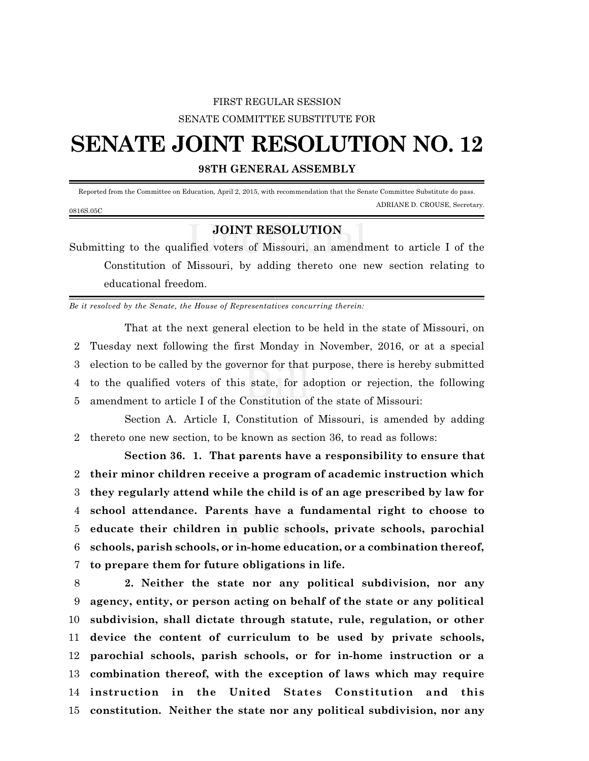## FIRST REGULAR SESSION SENATE COMMITTEE SUBSTITUTE FOR

## **SENATE JOINT RESOLUTION NO. 12**

**98TH GENERAL ASSEMBLY**

 Reported from the Committee on Education, April 2, 2015, with recommendation that the Senate Committee Substitute do pass. ADRIANE D. CROUSE, Secretary. 0816S.05C

## **JOINT RESOLUTION**

Submitting to the qualified voters of Missouri, an amendment to article I of the Constitution of Missouri, by adding thereto one new section relating to educational freedom.

*Be it resolved by the Senate, the House of Representatives concurring therein:*

That at the next general election to be held in the state of Missouri, on Tuesday next following the first Monday in November, 2016, or at a special election to be called by the governor for that purpose, there is hereby submitted to the qualified voters of this state, for adoption or rejection, the following amendment to article I of the Constitution of the state of Missouri:

Section A. Article I, Constitution of Missouri, is amended by adding 2 thereto one new section, to be known as section 36, to read as follows:

**Section 36. 1. That parents have a responsibility to ensure that their minor children receive a program of academic instruction which they regularly attend while the child is of an age prescribed by law for school attendance. Parents have a fundamental right to choose to educate their children in public schools, private schools, parochial schools, parish schools, or in-home education, or a combination thereof, to prepare them for future obligations in life.**

 **2. Neither the state nor any political subdivision, nor any agency, entity, or person acting on behalf of the state or any political subdivision, shall dictate through statute, rule, regulation, or other device the content of curriculum to be used by private schools, parochial schools, parish schools, or for in-home instruction or a combination thereof, with the exception of laws which may require instruction in the United States Constitution and this constitution. Neither the state nor any political subdivision, nor any**